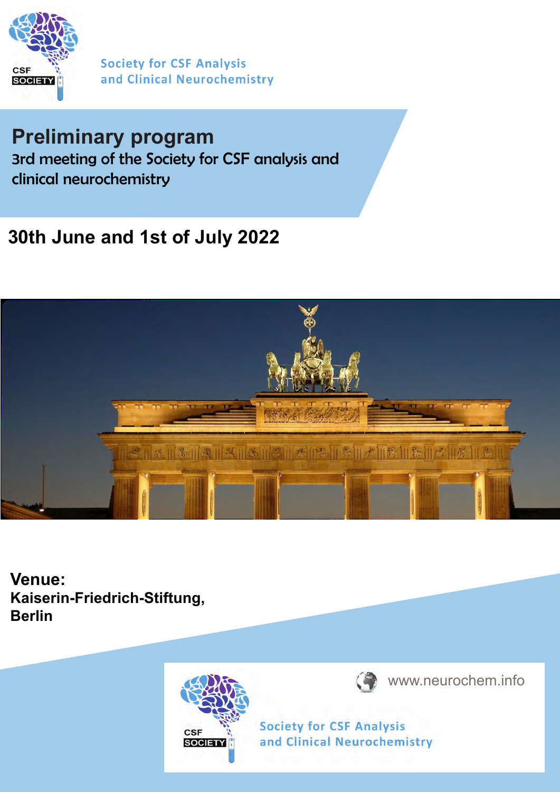

**Society for CSF Analysis** and Clinical Neurochemistry

# **Preliminary program**

3rd meeting of the Society for CSF analysis and clinical neurochemistry

## **30th June and 1st of July 2022**



**Venue: Kaiserin-Friedrich-Stiftung, Berlin**





www.neurochem.info

**Society for CSF Analysis** and Clinical Neurochemistry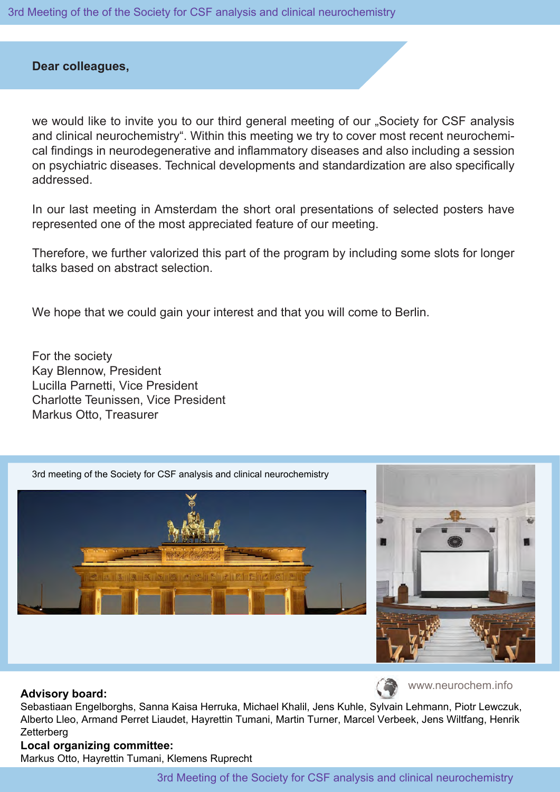3rd Meeting of the of the Society for CSF analysis and clinical neurochemistry

## **Dear colleagues,**

we would like to invite you to our third general meeting of our "Society for CSF analysis and clinical neurochemistry". Within this meeting we try to cover most recent neurochemical findings in neurodegenerative and inflammatory diseases and also including a session on psychiatric diseases. Technical developments and standardization are also specifically addressed.

In our last meeting in Amsterdam the short oral presentations of selected posters have represented one of the most appreciated feature of our meeting.

Therefore, we further valorized this part of the program by including some slots for longer talks based on abstract selection.

We hope that we could gain your interest and that you will come to Berlin.

For the society Kay Blennow, President Lucilla Parnetti, Vice President Charlotte Teunissen, Vice President Markus Otto, Treasurer



#### **Advisory board:**

Sebastiaan Engelborghs, Sanna Kaisa Herruka, Michael Khalil, Jens Kuhle, Sylvain Lehmann, Piotr Lewczuk, Alberto Lleo, Armand Perret Liaudet, Hayrettin Tumani, Martin Turner, Marcel Verbeek, Jens Wiltfang, Henrik **Zetterberg** 

## **Local organizing committee:**

Markus Otto, Hayrettin Tumani, Klemens Ruprecht

www.neurochem.info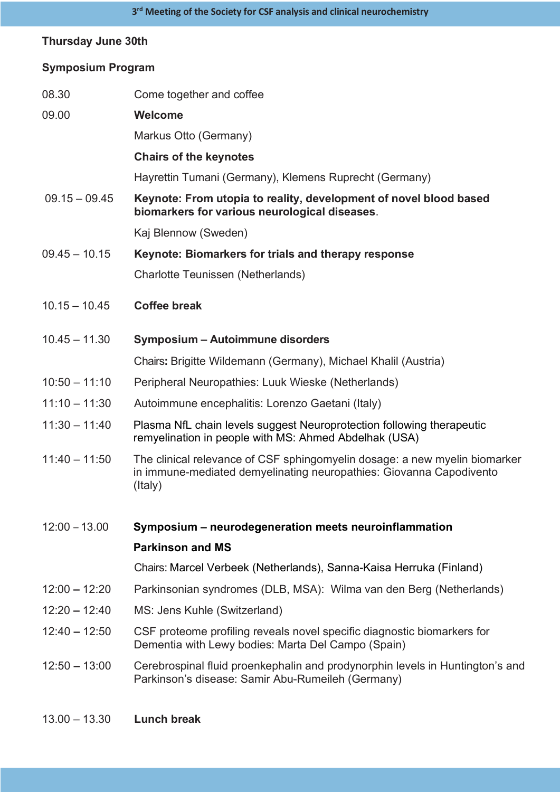## **Thursday June 30th**

## **Symposium Program**

| 08.30           | Come together and coffee                                                                                                                                     |
|-----------------|--------------------------------------------------------------------------------------------------------------------------------------------------------------|
| 09.00           | <b>Welcome</b>                                                                                                                                               |
|                 | Markus Otto (Germany)                                                                                                                                        |
|                 | <b>Chairs of the keynotes</b>                                                                                                                                |
|                 | Hayrettin Tumani (Germany), Klemens Ruprecht (Germany)                                                                                                       |
| $09.15 - 09.45$ | Keynote: From utopia to reality, development of novel blood based<br>biomarkers for various neurological diseases.                                           |
|                 | Kaj Blennow (Sweden)                                                                                                                                         |
| $09.45 - 10.15$ | Keynote: Biomarkers for trials and therapy response                                                                                                          |
|                 | Charlotte Teunissen (Netherlands)                                                                                                                            |
| $10.15 - 10.45$ | <b>Coffee break</b>                                                                                                                                          |
| $10.45 - 11.30$ | Symposium - Autoimmune disorders                                                                                                                             |
|                 | Chairs: Brigitte Wildemann (Germany), Michael Khalil (Austria)                                                                                               |
| $10:50 - 11:10$ | Peripheral Neuropathies: Luuk Wieske (Netherlands)                                                                                                           |
| $11:10 - 11:30$ | Autoimmune encephalitis: Lorenzo Gaetani (Italy)                                                                                                             |
| $11:30 - 11:40$ | Plasma NfL chain levels suggest Neuroprotection following therapeutic<br>remyelination in people with MS: Ahmed Abdelhak (USA)                               |
| $11:40 - 11:50$ | The clinical relevance of CSF sphingomyelin dosage: a new myelin biomarker<br>in immune-mediated demyelinating neuropathies: Giovanna Capodivento<br>(Italy) |
| $12:00 - 13.00$ | Symposium – neurodegeneration meets neuroinflammation                                                                                                        |
|                 | <b>Parkinson and MS</b>                                                                                                                                      |
|                 | Chairs: Marcel Verbeek (Netherlands), Sanna-Kaisa Herruka (Finland)                                                                                          |
| $12:00 - 12:20$ | Parkinsonian syndromes (DLB, MSA): Wilma van den Berg (Netherlands)                                                                                          |
| $12:20 - 12:40$ | MS: Jens Kuhle (Switzerland)                                                                                                                                 |
| $12:40 - 12:50$ | CSF proteome profiling reveals novel specific diagnostic biomarkers for<br>Dementia with Lewy bodies: Marta Del Campo (Spain)                                |
| $12:50 - 13:00$ | Cerebrospinal fluid proenkephalin and prodynorphin levels in Huntington's and<br>Parkinson's disease: Samir Abu-Rumeileh (Germany)                           |
|                 |                                                                                                                                                              |

13.00 – 13.30 **Lunch break**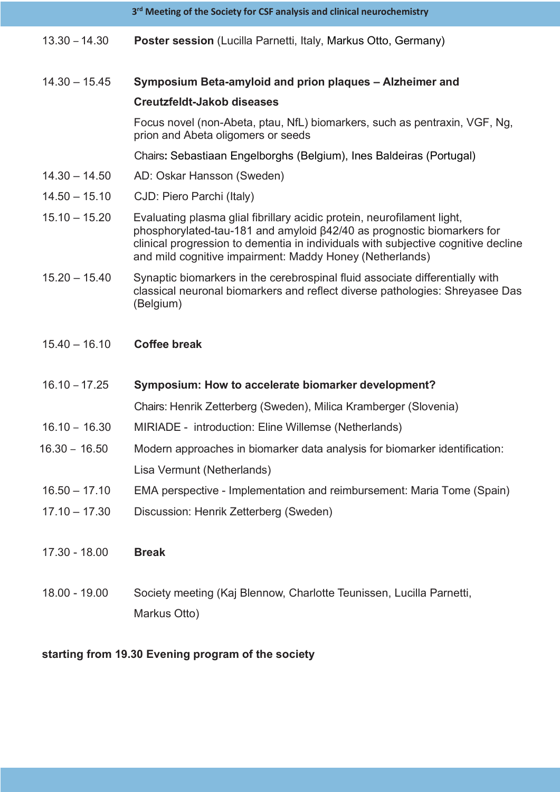|                 | 3rd Meeting of the Society for CSF analysis and clinical neurochemistry                                                                                                                                                                                                                            |
|-----------------|----------------------------------------------------------------------------------------------------------------------------------------------------------------------------------------------------------------------------------------------------------------------------------------------------|
| $13.30 - 14.30$ | Poster session (Lucilla Parnetti, Italy, Markus Otto, Germany)                                                                                                                                                                                                                                     |
| $14.30 - 15.45$ | Symposium Beta-amyloid and prion plaques - Alzheimer and                                                                                                                                                                                                                                           |
|                 | <b>Creutzfeldt-Jakob diseases</b>                                                                                                                                                                                                                                                                  |
|                 | Focus novel (non-Abeta, ptau, NfL) biomarkers, such as pentraxin, VGF, Ng,<br>prion and Abeta oligomers or seeds                                                                                                                                                                                   |
|                 | Chairs: Sebastiaan Engelborghs (Belgium), Ines Baldeiras (Portugal)                                                                                                                                                                                                                                |
| $14.30 - 14.50$ | AD: Oskar Hansson (Sweden)                                                                                                                                                                                                                                                                         |
| $14.50 - 15.10$ | CJD: Piero Parchi (Italy)                                                                                                                                                                                                                                                                          |
| $15.10 - 15.20$ | Evaluating plasma glial fibrillary acidic protein, neurofilament light,<br>phosphorylated-tau-181 and amyloid β42/40 as prognostic biomarkers for<br>clinical progression to dementia in individuals with subjective cognitive decline<br>and mild cognitive impairment: Maddy Honey (Netherlands) |
| $15.20 - 15.40$ | Synaptic biomarkers in the cerebrospinal fluid associate differentially with<br>classical neuronal biomarkers and reflect diverse pathologies: Shreyasee Das<br>(Belgium)                                                                                                                          |
| $15.40 - 16.10$ | <b>Coffee break</b>                                                                                                                                                                                                                                                                                |
| $16.10 - 17.25$ | Symposium: How to accelerate biomarker development?                                                                                                                                                                                                                                                |
|                 | Chairs: Henrik Zetterberg (Sweden), Milica Kramberger (Slovenia)                                                                                                                                                                                                                                   |
| $16.10 - 16.30$ | MIRIADE - introduction: Eline Willemse (Netherlands)                                                                                                                                                                                                                                               |
| $16.30 - 16.50$ | Modern approaches in biomarker data analysis for biomarker identification:                                                                                                                                                                                                                         |
|                 | Lisa Vermunt (Netherlands)                                                                                                                                                                                                                                                                         |
| $16.50 - 17.10$ | EMA perspective - Implementation and reimbursement: Maria Tome (Spain)                                                                                                                                                                                                                             |
| $17.10 - 17.30$ | Discussion: Henrik Zetterberg (Sweden)                                                                                                                                                                                                                                                             |
| 17.30 - 18.00   | <b>Break</b>                                                                                                                                                                                                                                                                                       |
| 18.00 - 19.00   | Society meeting (Kaj Blennow, Charlotte Teunissen, Lucilla Parnetti,                                                                                                                                                                                                                               |
|                 | Markus Otto)                                                                                                                                                                                                                                                                                       |
|                 | starting from 10.20 Evening program of the society                                                                                                                                                                                                                                                 |

## **starting from 19.30 Evening program of the society**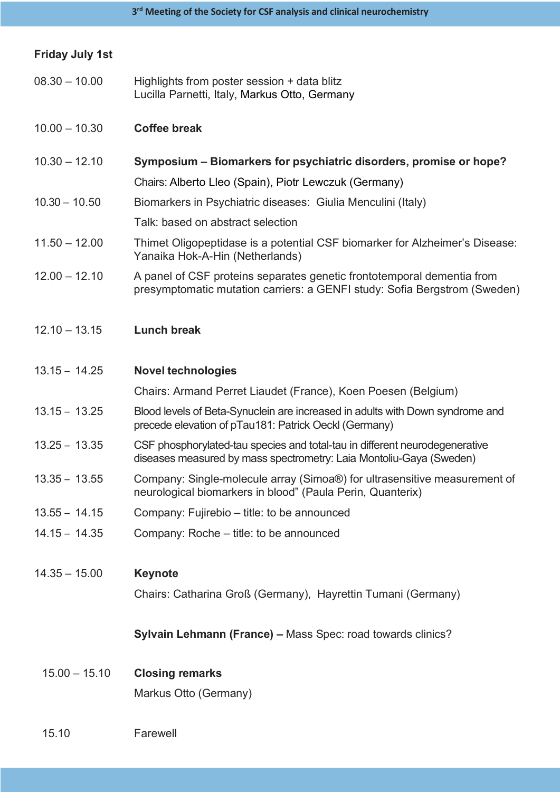| <b>Friday July 1st</b> |                                                                                                                                                     |  |  |
|------------------------|-----------------------------------------------------------------------------------------------------------------------------------------------------|--|--|
| $08.30 - 10.00$        | Highlights from poster session + data blitz<br>Lucilla Parnetti, Italy, Markus Otto, Germany                                                        |  |  |
| $10.00 - 10.30$        | <b>Coffee break</b>                                                                                                                                 |  |  |
| $10.30 - 12.10$        | Symposium – Biomarkers for psychiatric disorders, promise or hope?                                                                                  |  |  |
|                        | Chairs: Alberto Lleo (Spain), Piotr Lewczuk (Germany)                                                                                               |  |  |
| $10.30 - 10.50$        | Biomarkers in Psychiatric diseases: Giulia Menculini (Italy)                                                                                        |  |  |
|                        | Talk: based on abstract selection                                                                                                                   |  |  |
| $11.50 - 12.00$        | Thimet Oligopeptidase is a potential CSF biomarker for Alzheimer's Disease:<br>Yanaika Hok-A-Hin (Netherlands)                                      |  |  |
| $12.00 - 12.10$        | A panel of CSF proteins separates genetic frontotemporal dementia from<br>presymptomatic mutation carriers: a GENFI study: Sofia Bergstrom (Sweden) |  |  |
| $12.10 - 13.15$        | <b>Lunch break</b>                                                                                                                                  |  |  |
| $13.15 - 14.25$        | <b>Novel technologies</b>                                                                                                                           |  |  |
|                        | Chairs: Armand Perret Liaudet (France), Koen Poesen (Belgium)                                                                                       |  |  |
| $13.15 - 13.25$        | Blood levels of Beta-Synuclein are increased in adults with Down syndrome and<br>precede elevation of pTau181: Patrick Oeckl (Germany)              |  |  |
| $13.25 - 13.35$        | CSF phosphorylated-tau species and total-tau in different neurodegenerative<br>diseases measured by mass spectrometry: Laia Montoliu-Gaya (Sweden)  |  |  |
| $13.35 - 13.55$        | Company: Single-molecule array (Simoa®) for ultrasensitive measurement of<br>neurological biomarkers in blood" (Paula Perin, Quanterix)             |  |  |
| $13.55 - 14.15$        | Company: Fujirebio – title: to be announced                                                                                                         |  |  |
| $14.15 - 14.35$        | Company: Roche – title: to be announced                                                                                                             |  |  |
| $14.35 - 15.00$        | <b>Keynote</b>                                                                                                                                      |  |  |
|                        | Chairs: Catharina Groß (Germany), Hayrettin Tumani (Germany)                                                                                        |  |  |
|                        | Sylvain Lehmann (France) - Mass Spec: road towards clinics?                                                                                         |  |  |
| $15.00 - 15.10$        | <b>Closing remarks</b>                                                                                                                              |  |  |
|                        | Markus Otto (Germany)                                                                                                                               |  |  |
| 15.10                  | Farewell                                                                                                                                            |  |  |